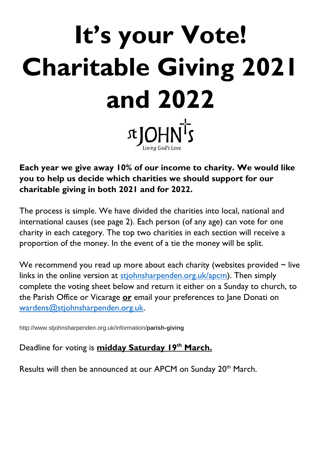# **It's your Vote! Charitable Giving 2021 and 2022 x**JOHNTs

**Each year we give away 10% of our income to charity. We would like you to help us decide which charities we should support for our charitable giving in both 2021 and for 2022.**

The process is simple. We have divided the charities into local, national and international causes (see page 2). Each person (of any age) can vote for one charity in each category. The top two charities in each section will receive a proportion of the money. In the event of a tie the money will be split.

We recommend you read up more about each charity (websites provided  $\sim$  live links in the online version at [stjohnsharpenden.org.uk/apcm\)](https://www.stjohnsharpenden.org.uk/apcm). Then simply complete the voting sheet below and return it either on a Sunday to church, to the Parish Office or Vicarage **or** email your preferences to Jane Donati on [wardens@stjohnsharpenden.org.uk.](mailto:wardens@stjohnsharpenden.org.uk?subject=Charity%20Giving%202021-22)

http://www.stjohnsharpenden.org.uk/information/**parish-giving**

Deadline for voting is **midday Saturday 19th March.**

Results will then be announced at our APCM on Sunday 20<sup>th</sup> March.